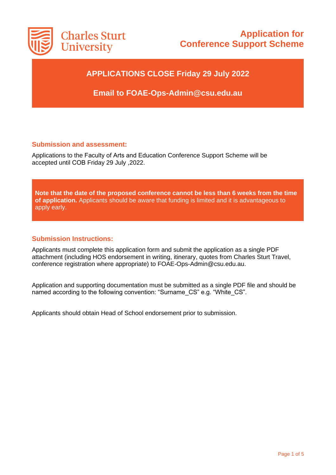

# **Application for Conference Support Scheme**

### **APPLICATIONS CLOSE Friday 29 July 2022**

**Email to FOAE-Ops-Admin@csu.edu.au**

#### **Submission and assessment:**

Applications to the Faculty of Arts and Education Conference Support Scheme will be accepted until COB Friday 29 July ,2022.

**Note that the date of the proposed conference cannot be less than 6 weeks from the time of application.** Applicants should be aware that funding is limited and it is advantageous to apply early.

#### **Submission Instructions:**

Applicants must complete this application form and submit the application as a single PDF attachment (including HOS endorsement in writing, itinerary, quotes from Charles Sturt Travel, conference registration where appropriate) to FOAE-Ops-Admin@csu.edu.au.

Application and supporting documentation must be submitted as a single PDF file and should be named according to the following convention: "Surname CS" e.g. "White CS".

Applicants should obtain Head of School endorsement prior to submission.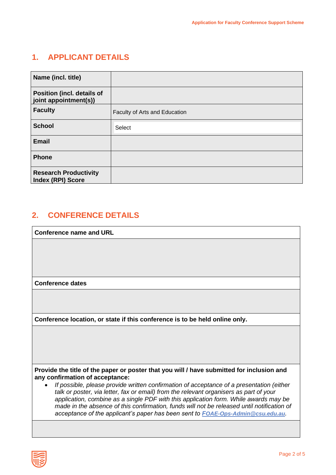### **1. APPLICANT DETAILS**

| Name (incl. title)                                       |                               |
|----------------------------------------------------------|-------------------------------|
| Position (incl. details of<br>joint appointment(s))      |                               |
| <b>Faculty</b>                                           | Faculty of Arts and Education |
| <b>School</b>                                            | Select                        |
| <b>Email</b>                                             |                               |
| <b>Phone</b>                                             |                               |
| <b>Research Productivity</b><br><b>Index (RPI) Score</b> |                               |

## **2. CONFERENCE DETAILS**

**Conference name and URL**

**Conference dates**

**Conference location, or state if this conference is to be held online only.** 

**Provide the title of the paper or poster that you will / have submitted for inclusion and any confirmation of acceptance:**

• *If possible, please provide written confirmation of acceptance of a presentation (either talk or poster, via letter, fax or email) from the relevant organisers as part of your application, combine as a single PDF with this application form. While awards may be made in the absence of this confirmation, funds will not be released until notification of acceptance of the applicant's paper has been sent to F[OAE-Ops-Admin@csu.edu.au](mailto:FOAE-Ops-Admin@csu.edu.au).*

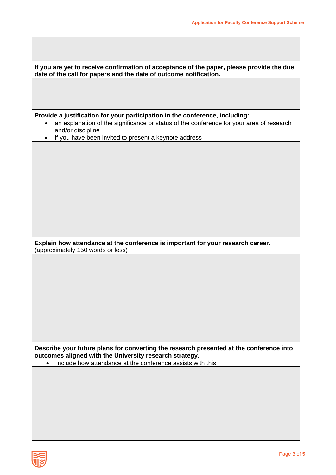| If you are yet to receive confirmation of acceptance of the paper, please provide the due<br>date of the call for papers and the date of outcome notification.                                |  |  |  |  |
|-----------------------------------------------------------------------------------------------------------------------------------------------------------------------------------------------|--|--|--|--|
|                                                                                                                                                                                               |  |  |  |  |
|                                                                                                                                                                                               |  |  |  |  |
| Provide a justification for your participation in the conference, including:<br>an explanation of the significance or status of the conference for your area of research<br>and/or discipline |  |  |  |  |
| if you have been invited to present a keynote address                                                                                                                                         |  |  |  |  |
|                                                                                                                                                                                               |  |  |  |  |
|                                                                                                                                                                                               |  |  |  |  |
|                                                                                                                                                                                               |  |  |  |  |
|                                                                                                                                                                                               |  |  |  |  |
|                                                                                                                                                                                               |  |  |  |  |
|                                                                                                                                                                                               |  |  |  |  |
|                                                                                                                                                                                               |  |  |  |  |
| Explain how attendance at the conference is important for your research career.<br>(approximately 150 words or less)                                                                          |  |  |  |  |
|                                                                                                                                                                                               |  |  |  |  |
|                                                                                                                                                                                               |  |  |  |  |
|                                                                                                                                                                                               |  |  |  |  |
|                                                                                                                                                                                               |  |  |  |  |
|                                                                                                                                                                                               |  |  |  |  |
|                                                                                                                                                                                               |  |  |  |  |
|                                                                                                                                                                                               |  |  |  |  |
|                                                                                                                                                                                               |  |  |  |  |
| Describe your future plans for converting the research presented at the conference into<br>outcomes aligned with the University research strategy.                                            |  |  |  |  |
| include how attendance at the conference assists with this                                                                                                                                    |  |  |  |  |
|                                                                                                                                                                                               |  |  |  |  |
|                                                                                                                                                                                               |  |  |  |  |

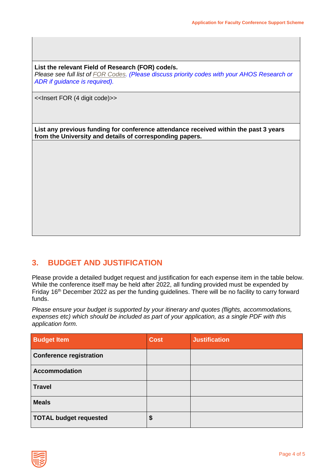**List the relevant Field of Research (FOR) code/s.**

*Please see full list of [FOR Codes.](https://bit.ly/2WCCWvd) (Please discuss priority codes with your AHOS Research or ADR if guidance is required).*

<<Insert FOR (4 digit code)>>

**List any previous funding for conference attendance received within the past 3 years from the University and details of corresponding papers.**

#### **3. BUDGET AND JUSTIFICATION**

Please provide a detailed budget request and justification for each expense item in the table below. While the conference itself may be held after 2022, all funding provided must be expended by Friday 16<sup>th</sup> December 2022 as per the funding guidelines. There will be no facility to carry forward funds.

*Please ensure your budget is supported by your itinerary and quotes (flights, accommodations, expenses etc) which should be included as part of your application, as a single PDF with this application form.*

| <b>Budget Item</b>             | <b>Cost</b> | <b>Justification</b> |
|--------------------------------|-------------|----------------------|
| <b>Conference registration</b> |             |                      |
| <b>Accommodation</b>           |             |                      |
| <b>Travel</b>                  |             |                      |
| <b>Meals</b>                   |             |                      |
| <b>TOTAL budget requested</b>  | \$          |                      |